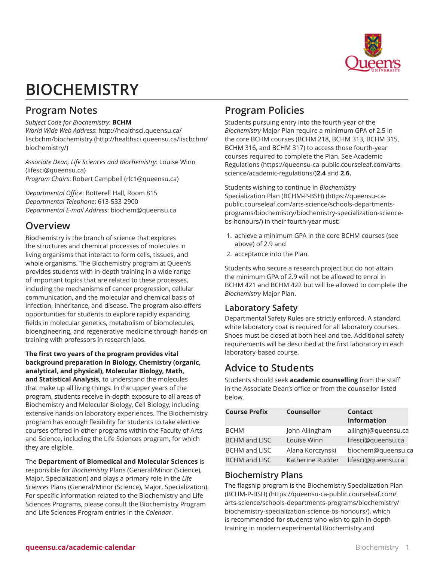

# **BIOCHEMISTRY**

# **Program Notes**

*Subject Code for Biochemistry*: **BCHM** *World Wide Web Address*: [http://healthsci.queensu.ca/](http://healthsci.queensu.ca/liscbchm/biochemistry/)

[liscbchm/biochemistry](http://healthsci.queensu.ca/liscbchm/biochemistry/) [\(http://healthsci.queensu.ca/liscbchm/](http://healthsci.queensu.ca/liscbchm/biochemistry/) [biochemistry/\)](http://healthsci.queensu.ca/liscbchm/biochemistry/)

*Associate Dean, Life Sciences and Biochemistry*: [Louise Winn](mailto:lifesci@queensu.ca) (<lifesci@queensu.ca>) *Program Chairs*: [Robert Campbell](mailto:rlc1@queensu.ca) ([rlc1@queensu.ca\)](rlc1@queensu.ca)

*Departmental Office*: Botterell Hall, Room 815 *Departmental Telephone*: 613-533-2900 *Departmental E-mail Address*: [biochem@queensu.ca](mailto:biochem@queensu.ca)

# **Overview**

Biochemistry is the branch of science that explores the structures and chemical processes of molecules in living organisms that interact to form cells, tissues, and whole organisms. The Biochemistry program at Queen's provides students with in-depth training in a wide range of important topics that are related to these processes, including the mechanisms of cancer progression, cellular communication, and the molecular and chemical basis of infection, inheritance, and disease. The program also offers opportunities for students to explore rapidly expanding fields in molecular genetics, metabolism of biomolecules, bioengineering, and regenerative medicine through hands-on training with professors in research labs.

**The first two years of the program provides vital background preparation in Biology, Chemistry (organic, analytical, and physical), Molecular Biology, Math, and Statistical Analysis,** to understand the molecules that make up all living things. In the upper years of the program, students receive in-depth exposure to all areas of Biochemistry and Molecular Biology, Cell Biology, including extensive hands-on laboratory experiences. The Biochemistry program has enough flexibility for students to take elective courses offered in other programs within the Faculty of Arts and Science, including the Life Sciences program, for which they are eligible.

The **Department of Biomedical and Molecular Sciences** is responsible for *Biochemistry* Plans (General/Minor (Science), Major, Specialization) and plays a primary role in the *Life Sciences* Plans (General/Minor (Science), Major, Specialization). For specific information related to the Biochemistry and Life Sciences Programs, please consult the Biochemistry Program and Life Sciences Program entries in the *Calendar*.

# **Program Policies**

Students pursuing entry into the fourth-year of the *Biochemistry* Major Plan require a minimum GPA of 2.5 in the core BCHM courses (BCHM 218, BCHM 313, BCHM 315, BCHM 316, and BCHM 317) to access those fourth-year courses required to complete the Plan. See [Academic](https://queensu-ca-public.courseleaf.com/arts-science/academic-regulations/) [Regulations](https://queensu-ca-public.courseleaf.com/arts-science/academic-regulations/) [\(https://queensu-ca-public.courseleaf.com/arts](https://queensu-ca-public.courseleaf.com/arts-science/academic-regulations/)[science/academic-regulations/](https://queensu-ca-public.courseleaf.com/arts-science/academic-regulations/))**2.4** and **2.6.**

Students wishing to continue in *Biochemistry* Specialization Plan (BCHM-P-BSH[\)](https://queensu-ca-public.courseleaf.com/arts-science/schools-departments-programs/biochemistry/biochemistry-specialization-science-bs-honours/) [\(https://queensu-ca](https://queensu-ca-public.courseleaf.com/arts-science/schools-departments-programs/biochemistry/biochemistry-specialization-science-bs-honours/)[public.courseleaf.com/arts-science/schools-departments](https://queensu-ca-public.courseleaf.com/arts-science/schools-departments-programs/biochemistry/biochemistry-specialization-science-bs-honours/)[programs/biochemistry/biochemistry-specialization-science](https://queensu-ca-public.courseleaf.com/arts-science/schools-departments-programs/biochemistry/biochemistry-specialization-science-bs-honours/)[bs-honours/\)](https://queensu-ca-public.courseleaf.com/arts-science/schools-departments-programs/biochemistry/biochemistry-specialization-science-bs-honours/) in their fourth-year must:

- 1. achieve a minimum GPA in the core BCHM courses (see above) of 2.9 and
- 2. acceptance into the Plan.

Students who secure a research project but do not attain the minimum GPA of 2.9 will not be allowed to enrol in BCHM 421 and BCHM 422 but will be allowed to complete the *Biochemistry* Major Plan.

# **Laboratory Safety**

Departmental Safety Rules are strictly enforced. A standard white laboratory coat is required for all laboratory courses. Shoes must be closed at both heel and toe. Additional safety requirements will be described at the first laboratory in each laboratory-based course.

# **Advice to Students**

Students should seek **academic counselling** from the staff in the Associate Dean's office or from the counsellor listed below.

| <b>Course Prefix</b> | <b>Counsellor</b> | <b>Contact</b><br><b>Information</b> |
|----------------------|-------------------|--------------------------------------|
| <b>BCHM</b>          | John Allingham    | allinghj@queensu.ca                  |
| <b>BCHM</b> and LISC | Louise Winn       | lifesci@queensu.ca                   |
| BCHM and LISC        | Alana Korczynski  | biochem@queensu.ca                   |
| <b>BCHM</b> and LISC | Katherine Rudder  | lifesci@queensu.ca                   |

### **Biochemistry Plans**

The flagship program is the [Biochemistry Specialization Plan](https://queensu-ca-public.courseleaf.com/arts-science/schools-departments-programs/biochemistry/biochemistry-specialization-science-bs-honours/) [\(BCHM-P-BSH\)](https://queensu-ca-public.courseleaf.com/arts-science/schools-departments-programs/biochemistry/biochemistry-specialization-science-bs-honours/) [\(https://queensu-ca-public.courseleaf.com/](https://queensu-ca-public.courseleaf.com/arts-science/schools-departments-programs/biochemistry/biochemistry-specialization-science-bs-honours/) [arts-science/schools-departments-programs/biochemistry/](https://queensu-ca-public.courseleaf.com/arts-science/schools-departments-programs/biochemistry/biochemistry-specialization-science-bs-honours/) [biochemistry-specialization-science-bs-honours/\)](https://queensu-ca-public.courseleaf.com/arts-science/schools-departments-programs/biochemistry/biochemistry-specialization-science-bs-honours/), which is recommended for students who wish to gain in-depth training in modern experimental Biochemistry and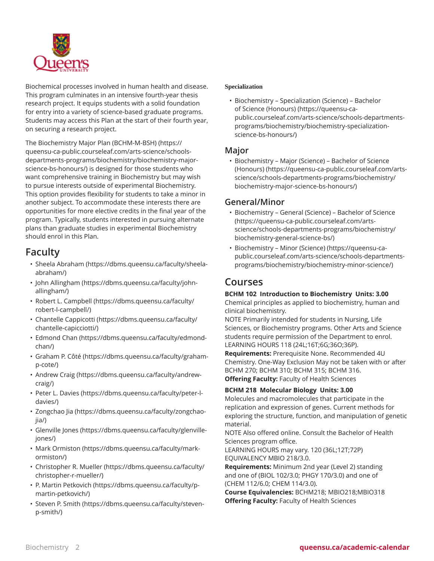

Biochemical processes involved in human health and disease. This program culminates in an intensive fourth-year thesis research project. It equips students with a solid foundation for entry into a variety of science-based graduate programs. Students may access this Plan at the start of their fourth year, on securing a research project.

The [Biochemistry Major Plan \(BCHM-M-BSH\)](https://queensu-ca-public.courseleaf.com/arts-science/schools-departments-programs/biochemistry/biochemistry-major-science-bs-honours/) [\(https://](https://queensu-ca-public.courseleaf.com/arts-science/schools-departments-programs/biochemistry/biochemistry-major-science-bs-honours/) [queensu-ca-public.courseleaf.com/arts-science/schools](https://queensu-ca-public.courseleaf.com/arts-science/schools-departments-programs/biochemistry/biochemistry-major-science-bs-honours/)[departments-programs/biochemistry/biochemistry-major](https://queensu-ca-public.courseleaf.com/arts-science/schools-departments-programs/biochemistry/biochemistry-major-science-bs-honours/)[science-bs-honours/](https://queensu-ca-public.courseleaf.com/arts-science/schools-departments-programs/biochemistry/biochemistry-major-science-bs-honours/)) is designed for those students who want comprehensive training in Biochemistry but may wish to pursue interests outside of experimental Biochemistry. This option provides flexibility for students to take a minor in another subject. To accommodate these interests there are opportunities for more elective credits in the final year of the program. Typically, students interested in pursuing alternate plans than graduate studies in experimental Biochemistry should enrol in this Plan.

# **Faculty**

- Sheela [Abraham](https://dbms.queensu.ca/faculty/sheela-abraham/) ([https://dbms.queensu.ca/faculty/sheela](https://dbms.queensu.ca/faculty/sheela-abraham/)[abraham/](https://dbms.queensu.ca/faculty/sheela-abraham/))
- [John Allingham](https://dbms.queensu.ca/faculty/john-allingham/) [\(https://dbms.queensu.ca/faculty/john](https://dbms.queensu.ca/faculty/john-allingham/)[allingham/](https://dbms.queensu.ca/faculty/john-allingham/))
- [Robert L. Campbell](https://dbms.queensu.ca/faculty/robert-l-campbell/) ([https://dbms.queensu.ca/faculty/](https://dbms.queensu.ca/faculty/robert-l-campbell/) [robert-l-campbell/\)](https://dbms.queensu.ca/faculty/robert-l-campbell/)
- [Chantelle Cappicotti](https://dbms.queensu.ca/faculty/chantelle-capicciotti/) [\(https://dbms.queensu.ca/faculty/](https://dbms.queensu.ca/faculty/chantelle-capicciotti/) [chantelle-capicciotti/](https://dbms.queensu.ca/faculty/chantelle-capicciotti/))
- [Edmond Chan](https://dbms.queensu.ca/faculty/edmond-chan/) [\(https://dbms.queensu.ca/faculty/edmond](https://dbms.queensu.ca/faculty/edmond-chan/)[chan/\)](https://dbms.queensu.ca/faculty/edmond-chan/)
- [Graham](https://dbms.queensu.ca/faculty/graham-p-cote/) P. Côté ([https://dbms.queensu.ca/faculty/graham](https://dbms.queensu.ca/faculty/graham-p-cote/)[p-cote/\)](https://dbms.queensu.ca/faculty/graham-p-cote/)
- [Andrew](https://dbms.queensu.ca/faculty/andrew-craig/) Craig ([https://dbms.queensu.ca/faculty/andrew](https://dbms.queensu.ca/faculty/andrew-craig/)[craig/](https://dbms.queensu.ca/faculty/andrew-craig/))
- [Peter L. Davies](https://dbms.queensu.ca/faculty/peter-l-davies/) ([https://dbms.queensu.ca/faculty/peter-l](https://dbms.queensu.ca/faculty/peter-l-davies/)[davies/\)](https://dbms.queensu.ca/faculty/peter-l-davies/)
- [Zongchao Jia](https://dbms.queensu.ca/faculty/zongchao-jia/) [\(https://dbms.queensu.ca/faculty/zongchao](https://dbms.queensu.ca/faculty/zongchao-jia/)[jia/\)](https://dbms.queensu.ca/faculty/zongchao-jia/)
- [Glenville Jones](https://dbms.queensu.ca/faculty/glenville-jones/) ([https://dbms.queensu.ca/faculty/glenville](https://dbms.queensu.ca/faculty/glenville-jones/)[jones/\)](https://dbms.queensu.ca/faculty/glenville-jones/)
- [Mark Ormiston](https://dbms.queensu.ca/faculty/mark-ormiston/) ([https://dbms.queensu.ca/faculty/mark](https://dbms.queensu.ca/faculty/mark-ormiston/)[ormiston/](https://dbms.queensu.ca/faculty/mark-ormiston/))
- [Christopher R. Mueller](https://dbms.queensu.ca/faculty/christopher-r-mueller/) [\(https://dbms.queensu.ca/faculty/](https://dbms.queensu.ca/faculty/christopher-r-mueller/) [christopher-r-mueller/](https://dbms.queensu.ca/faculty/christopher-r-mueller/))
- P. Martin [Petkovich](https://dbms.queensu.ca/faculty/p-martin-petkovich/) [\(https://dbms.queensu.ca/faculty/p](https://dbms.queensu.ca/faculty/p-martin-petkovich/)[martin-petkovich/](https://dbms.queensu.ca/faculty/p-martin-petkovich/))
- [Steven](https://dbms.queensu.ca/faculty/steven-p-smith/) P. Smith ([https://dbms.queensu.ca/faculty/steven](https://dbms.queensu.ca/faculty/steven-p-smith/)[p-smith/](https://dbms.queensu.ca/faculty/steven-p-smith/))

#### **Specialization**

• [Biochemistry – Specialization \(Science\) – Bachelor](https://queensu-ca-public.courseleaf.com/arts-science/schools-departments-programs/biochemistry/biochemistry-specialization-science-bs-honours/) [of Science \(Honours\)](https://queensu-ca-public.courseleaf.com/arts-science/schools-departments-programs/biochemistry/biochemistry-specialization-science-bs-honours/) ([https://queensu-ca](https://queensu-ca-public.courseleaf.com/arts-science/schools-departments-programs/biochemistry/biochemistry-specialization-science-bs-honours/)[public.courseleaf.com/arts-science/schools-departments](https://queensu-ca-public.courseleaf.com/arts-science/schools-departments-programs/biochemistry/biochemistry-specialization-science-bs-honours/)[programs/biochemistry/biochemistry-specialization](https://queensu-ca-public.courseleaf.com/arts-science/schools-departments-programs/biochemistry/biochemistry-specialization-science-bs-honours/)[science-bs-honours/](https://queensu-ca-public.courseleaf.com/arts-science/schools-departments-programs/biochemistry/biochemistry-specialization-science-bs-honours/))

### **Major**

• [Biochemistry – Major \(Science\) – Bachelor of Science](https://queensu-ca-public.courseleaf.com/arts-science/schools-departments-programs/biochemistry/biochemistry-major-science-bs-honours/) [\(Honours\)](https://queensu-ca-public.courseleaf.com/arts-science/schools-departments-programs/biochemistry/biochemistry-major-science-bs-honours/) [\(https://queensu-ca-public.courseleaf.com/arts](https://queensu-ca-public.courseleaf.com/arts-science/schools-departments-programs/biochemistry/biochemistry-major-science-bs-honours/)[science/schools-departments-programs/biochemistry/](https://queensu-ca-public.courseleaf.com/arts-science/schools-departments-programs/biochemistry/biochemistry-major-science-bs-honours/) [biochemistry-major-science-bs-honours/](https://queensu-ca-public.courseleaf.com/arts-science/schools-departments-programs/biochemistry/biochemistry-major-science-bs-honours/))

### **General/Minor**

- [Biochemistry](https://queensu-ca-public.courseleaf.com/arts-science/schools-departments-programs/biochemistry/biochemistry-general-science-bs/) General (Science) Bachelor of Science ([https://queensu-ca-public.courseleaf.com/arts](https://queensu-ca-public.courseleaf.com/arts-science/schools-departments-programs/biochemistry/biochemistry-general-science-bs/)[science/schools-departments-programs/biochemistry/](https://queensu-ca-public.courseleaf.com/arts-science/schools-departments-programs/biochemistry/biochemistry-general-science-bs/) [biochemistry-general-science-bs/](https://queensu-ca-public.courseleaf.com/arts-science/schools-departments-programs/biochemistry/biochemistry-general-science-bs/))
- [Biochemistry Minor \(Science\)](https://queensu-ca-public.courseleaf.com/arts-science/schools-departments-programs/biochemistry/biochemistry-minor-science/) [\(https://queensu-ca](https://queensu-ca-public.courseleaf.com/arts-science/schools-departments-programs/biochemistry/biochemistry-minor-science/)[public.courseleaf.com/arts-science/schools-departments](https://queensu-ca-public.courseleaf.com/arts-science/schools-departments-programs/biochemistry/biochemistry-minor-science/)[programs/biochemistry/biochemistry-minor-science/](https://queensu-ca-public.courseleaf.com/arts-science/schools-departments-programs/biochemistry/biochemistry-minor-science/))

# **Courses**

#### **BCHM 102 Introduction to Biochemistry Units: 3.00**

Chemical principles as applied to biochemistry, human and clinical biochemistry.

NOTE Primarily intended for students in Nursing, Life Sciences, or Biochemistry programs. Other Arts and Science students require permission of the Department to enrol. LEARNING HOURS 118 (24L;16T;6G;36O;36P).

**Requirements:** Prerequisite None. Recommended 4U Chemistry. One-Way Exclusion May not be taken with or after BCHM 270; BCHM 310; BCHM 315; BCHM 316. **Offering Faculty:** Faculty of Health Sciences

### **BCHM 218 Molecular Biology Units: 3.00**

Molecules and macromolecules that participate in the replication and expression of genes. Current methods for exploring the structure, function, and manipulation of genetic material.

NOTE Also offered online. Consult the Bachelor of Health Sciences program office.

LEARNING HOURS may vary. 120 (36L;12T;72P) EQUIVALENCY MBIO 218/3.0.

**Requirements:** Minimum 2nd year (Level 2) standing and one of (BIOL 102/3.0; PHGY 170/3.0) and one of (CHEM 112/6.0; CHEM 114/3.0).

**Course Equivalencies:** BCHM218; MBIO218;MBIO318 **Offering Faculty:** Faculty of Health Sciences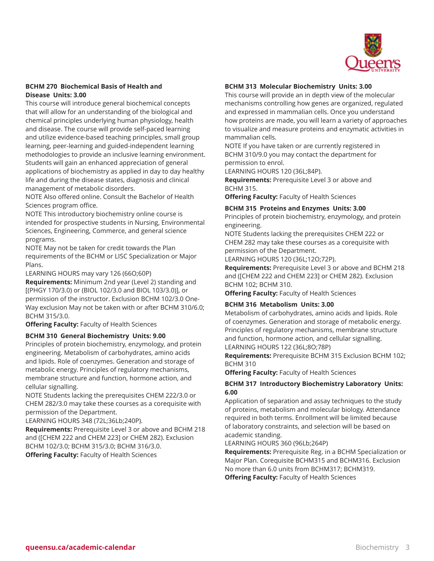

#### **BCHM 270 Biochemical Basis of Health and Disease Units: 3.00**

This course will introduce general biochemical concepts that will allow for an understanding of the biological and chemical principles underlying human physiology, health and disease. The course will provide self-paced learning and utilize evidence-based teaching principles, small group learning, peer-learning and guided-independent learning methodologies to provide an inclusive learning environment. Students will gain an enhanced appreciation of general applications of biochemistry as applied in day to day healthy life and during the disease states, diagnosis and clinical management of metabolic disorders.

NOTE Also offered online. Consult the Bachelor of Health Sciences program office.

NOTE This introductory biochemistry online course is intended for prospective students in Nursing, Environmental Sciences, Engineering, Commerce, and general science programs.

NOTE May not be taken for credit towards the Plan requirements of the BCHM or LISC Specialization or Major Plans.

LEARNING HOURS may vary 126 (66O;60P)

**Requirements:** Minimum 2nd year (Level 2) standing and [(PHGY 170/3.0) or (BIOL 102/3.0 and BIOL 103/3.0)], or permission of the instructor. Exclusion BCHM 102/3.0 One-Way exclusion May not be taken with or after BCHM 310/6.0; BCHM 315/3.0.

**Offering Faculty:** Faculty of Health Sciences

#### **BCHM 310 General Biochemistry Units: 9.00**

Principles of protein biochemistry, enzymology, and protein engineering. Metabolism of carbohydrates, amino acids and lipids. Role of coenzymes. Generation and storage of metabolic energy. Principles of regulatory mechanisms, membrane structure and function, hormone action, and cellular signalling.

NOTE Students lacking the prerequisites CHEM 222/3.0 or CHEM 282/3.0 may take these courses as a corequisite with permission of the Department.

LEARNING HOURS 348 (72L;36Lb;240P).

**Requirements:** Prerequisite Level 3 or above and BCHM 218 and ([CHEM 222 and CHEM 223] or CHEM 282). Exclusion BCHM 102/3.0; BCHM 315/3.0; BCHM 316/3.0. **Offering Faculty:** Faculty of Health Sciences

#### **BCHM 313 Molecular Biochemistry Units: 3.00**

This course will provide an in depth view of the molecular mechanisms controlling how genes are organized, regulated and expressed in mammalian cells. Once you understand how proteins are made, you will learn a variety of approaches to visualize and measure proteins and enzymatic activities in mammalian cells.

NOTE If you have taken or are currently registered in BCHM 310/9.0 you may contact the department for permission to enrol.

LEARNING HOURS 120 (36L;84P).

**Requirements:** Prerequisite Level 3 or above and BCHM 315.

**Offering Faculty:** Faculty of Health Sciences

#### **BCHM 315 Proteins and Enzymes Units: 3.00**

Principles of protein biochemistry, enzymology, and protein engineering.

NOTE Students lacking the prerequisites CHEM 222 or CHEM 282 may take these courses as a corequisite with permission of the Department.

LEARNING HOURS 120 (36L;12O;72P).

**Requirements:** Prerequisite Level 3 or above and BCHM 218 and ([CHEM 222 and CHEM 223] or CHEM 282). Exclusion BCHM 102; BCHM 310.

**Offering Faculty:** Faculty of Health Sciences

#### **BCHM 316 Metabolism Units: 3.00**

Metabolism of carbohydrates, amino acids and lipids. Role of coenzymes. Generation and storage of metabolic energy. Principles of regulatory mechanisms, membrane structure and function, hormone action, and cellular signalling. LEARNING HOURS 122 (36L;8O;78P)

**Requirements:** Prerequisite BCHM 315 Exclusion BCHM 102; BCHM 310

**Offering Faculty:** Faculty of Health Sciences

#### **BCHM 317 Introductory Biochemistry Laboratory Units: 6.00**

Application of separation and assay techniques to the study of proteins, metabolism and molecular biology. Attendance required in both terms. Enrollment will be limited because of laboratory constraints, and selection will be based on academic standing.

LEARNING HOURS 360 (96Lb;264P)

**Requirements:** Prerequisite Reg. in a BCHM Specialization or Major Plan. Corequisite BCHM315 and BCHM316. Exclusion No more than 6.0 units from BCHM317; BCHM319. **Offering Faculty:** Faculty of Health Sciences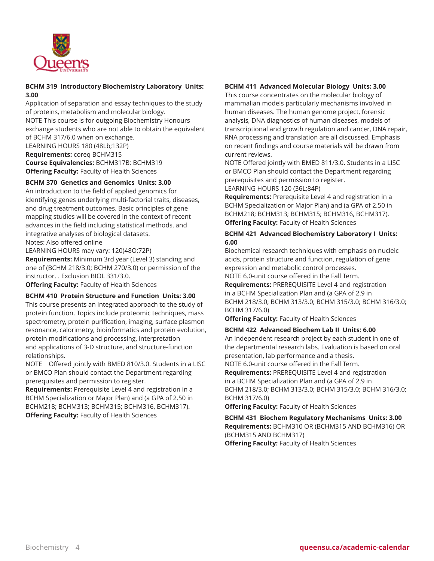

#### **BCHM 319 Introductory Biochemistry Laboratory Units: 3.00**

Application of separation and essay techniques to the study of proteins, metabolism and molecular biology. NOTE This course is for outgoing Biochemistry Honours exchange students who are not able to obtain the equivalent of BCHM 317/6.0 when on exchange. LEARNING HOURS 180 (48Lb;132P) **Requirements:** coreq BCHM315 **Course Equivalencies:** BCHM317B; BCHM319 **Offering Faculty:** Faculty of Health Sciences

### **BCHM 370 Genetics and Genomics Units: 3.00**

An introduction to the field of applied genomics for identifying genes underlying multi-factorial traits, diseases, and drug treatment outcomes. Basic principles of gene mapping studies will be covered in the context of recent advances in the field including statistical methods, and integrative analyses of biological datasets. Notes: Also offered online

LEARNING HOURS may vary: 120(48O;72P)

**Requirements:** Minimum 3rd year (Level 3) standing and one of (BCHM 218/3.0; BCHM 270/3.0) or permission of the instructor. . Exclusion BIOL 331/3.0.

**Offering Faculty:** Faculty of Health Sciences

#### **BCHM 410 Protein Structure and Function Units: 3.00**

This course presents an integrated approach to the study of protein function. Topics include proteomic techniques, mass spectrometry, protein purification, imaging, surface plasmon resonance, calorimetry, bioinformatics and protein evolution, protein modifications and processing, interpretation and applications of 3-D structure, and structure-function relationships.

NOTE Offered jointly with BMED 810/3.0. Students in a LISC or BMCO Plan should contact the Department regarding prerequisites and permission to register.

**Requirements:** Prerequisite Level 4 and registration in a BCHM Specialization or Major Plan) and (a GPA of 2.50 in BCHM218; BCHM313; BCHM315; BCHM316, BCHM317). **Offering Faculty:** Faculty of Health Sciences

#### **BCHM 411 Advanced Molecular Biology Units: 3.00**

This course concentrates on the molecular biology of mammalian models particularly mechanisms involved in human diseases. The human genome project, forensic analysis, DNA diagnostics of human diseases, models of transcriptional and growth regulation and cancer, DNA repair, RNA processing and translation are all discussed. Emphasis on recent findings and course materials will be drawn from current reviews.

NOTE Offered jointly with BMED 811/3.0. Students in a LISC or BMCO Plan should contact the Department regarding prerequisites and permission to register.

LEARNING HOURS 120 (36L;84P)

**Requirements:** Prerequisite Level 4 and registration in a BCHM Specialization or Major Plan) and (a GPA of 2.50 in BCHM218; BCHM313; BCHM315; BCHM316, BCHM317). **Offering Faculty:** Faculty of Health Sciences

#### **BCHM 421 Advanced Biochemistry Laboratory I Units: 6.00**

Biochemical research techniques with emphasis on nucleic acids, protein structure and function, regulation of gene expression and metabolic control processes. NOTE 6.0-unit course offered in the Fall Term.

**Requirements:** PREREQUISITE Level 4 and registration in a BCHM Specialization Plan and (a GPA of 2.9 in BCHM 218/3.0; BCHM 313/3.0; BCHM 315/3.0; BCHM 316/3.0; BCHM 317/6.0)

**Offering Faculty:** Faculty of Health Sciences

#### **BCHM 422 Advanced Biochem Lab II Units: 6.00**

An independent research project by each student in one of the departmental research labs. Evaluation is based on oral presentation, lab performance and a thesis.

NOTE 6.0-unit course offered in the Fall Term. **Requirements:** PREREQUISITE Level 4 and registration in a BCHM Specialization Plan and (a GPA of 2.9 in BCHM 218/3.0; BCHM 313/3.0; BCHM 315/3.0; BCHM 316/3.0; BCHM 317/6.0)

**Offering Faculty:** Faculty of Health Sciences

**BCHM 431 Biochem Regulatory Mechanisms Units: 3.00 Requirements:** BCHM310 OR (BCHM315 AND BCHM316) OR (BCHM315 AND BCHM317) **Offering Faculty:** Faculty of Health Sciences